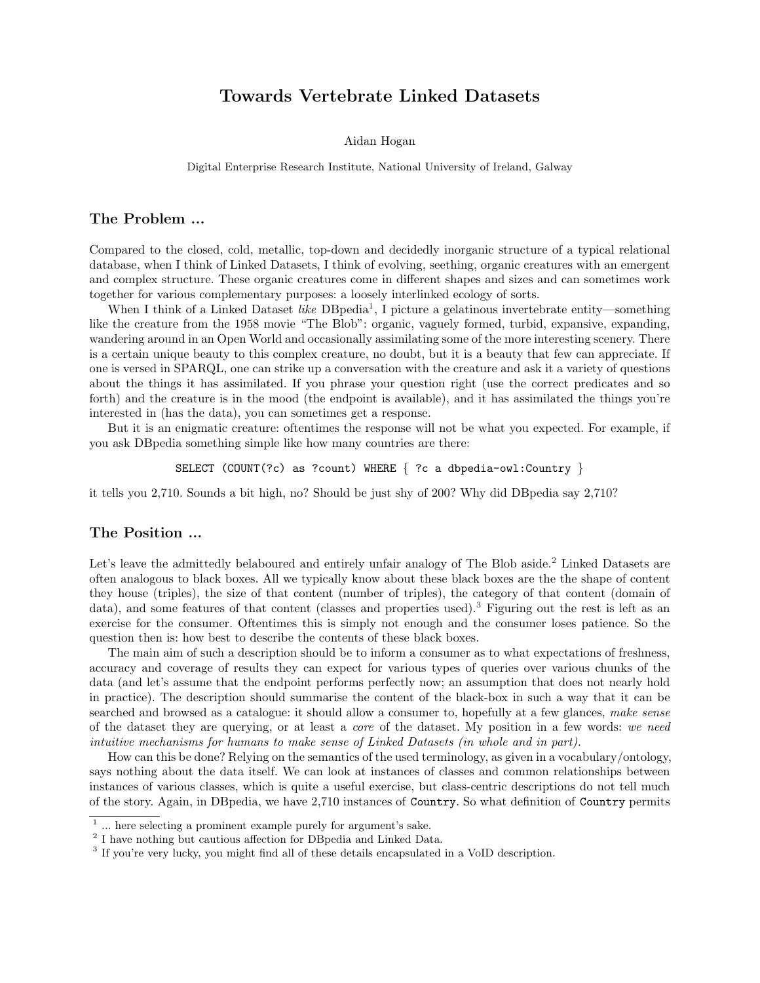# Towards Vertebrate Linked Datasets

Aidan Hogan

Digital Enterprise Research Institute, National University of Ireland, Galway

## The Problem ...

Compared to the closed, cold, metallic, top-down and decidedly inorganic structure of a typical relational database, when I think of Linked Datasets, I think of evolving, seething, organic creatures with an emergent and complex structure. These organic creatures come in different shapes and sizes and can sometimes work together for various complementary purposes: a loosely interlinked ecology of sorts.

When I think of a Linked Dataset like DBpedia<sup>[1](#page-0-0)</sup>, I picture a gelatinous invertebrate entity—something like the creature from the 1958 movie "The Blob": organic, vaguely formed, turbid, expansive, expanding, wandering around in an Open World and occasionally assimilating some of the more interesting scenery. There is a certain unique beauty to this complex creature, no doubt, but it is a beauty that few can appreciate. If one is versed in SPARQL, one can strike up a conversation with the creature and ask it a variety of questions about the things it has assimilated. If you phrase your question right (use the correct predicates and so forth) and the creature is in the mood (the endpoint is available), and it has assimilated the things you're interested in (has the data), you can sometimes get a response.

But it is an enigmatic creature: oftentimes the response will not be what you expected. For example, if you ask DBpedia something simple like how many countries are there:

SELECT (COUNT(?c) as ?count) WHERE { ?c a dbpedia-owl:Country }

it tells you 2,710. Sounds a bit high, no? Should be just shy of 200? Why did DBpedia say 2,710?

## The Position ...

Let's leave the admittedly belaboured and entirely unfair analogy of The Blob aside.<sup>[2](#page-0-1)</sup> Linked Datasets are often analogous to black boxes. All we typically know about these black boxes are the the shape of content they house (triples), the size of that content (number of triples), the category of that content (domain of data), and some features of that content (classes and properties used).<sup>[3](#page-0-2)</sup> Figuring out the rest is left as an exercise for the consumer. Oftentimes this is simply not enough and the consumer loses patience. So the question then is: how best to describe the contents of these black boxes.

The main aim of such a description should be to inform a consumer as to what expectations of freshness, accuracy and coverage of results they can expect for various types of queries over various chunks of the data (and let's assume that the endpoint performs perfectly now; an assumption that does not nearly hold in practice). The description should summarise the content of the black-box in such a way that it can be searched and browsed as a catalogue: it should allow a consumer to, hopefully at a few glances, make sense of the dataset they are querying, or at least a core of the dataset. My position in a few words: we need intuitive mechanisms for humans to make sense of Linked Datasets (in whole and in part).

How can this be done? Relying on the semantics of the used terminology, as given in a vocabulary/ontology, says nothing about the data itself. We can look at instances of classes and common relationships between instances of various classes, which is quite a useful exercise, but class-centric descriptions do not tell much of the story. Again, in DBpedia, we have 2,710 instances of Country. So what definition of Country permits

<span id="page-0-0"></span> $<sup>1</sup>$  ... here selecting a prominent example purely for argument's sake.</sup>

<span id="page-0-1"></span><sup>&</sup>lt;sup>2</sup> I have nothing but cautious affection for DB pedia and Linked Data.

<span id="page-0-2"></span><sup>&</sup>lt;sup>3</sup> If you're very lucky, you might find all of these details encapsulated in a VoID description.